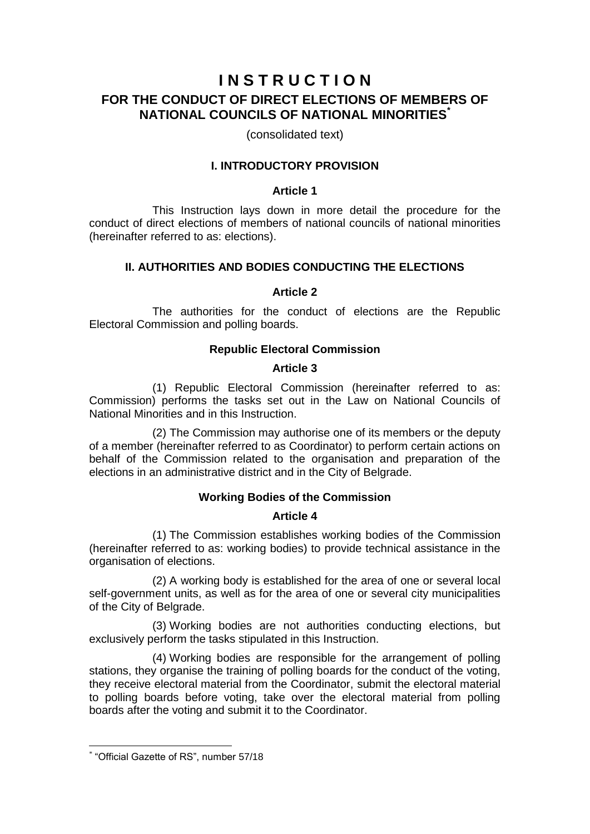# **I N S T R U C T I O N FOR THE CONDUCT OF DIRECT ELECTIONS OF MEMBERS OF NATIONAL COUNCILS OF NATIONAL MINORITIES\***

(consolidated text)

# **I. INTRODUCTORY PROVISION**

### **Article 1**

This Instruction lays down in more detail the procedure for the conduct of direct elections of members of national councils of national minorities (hereinafter referred to as: elections).

# **II. AUTHORITIES AND BODIES CONDUCTING THE ELECTIONS**

# **Article 2**

The authorities for the conduct of elections are the Republic Electoral Commission and polling boards.

### **Republic Electoral Commission**

### **Article 3**

(1) Republic Electoral Commission (hereinafter referred to as: Commission) performs the tasks set out in the Law on National Councils of National Minorities and in this Instruction.

(2) The Commission may authorise one of its members or the deputy of a member (hereinafter referred to as Coordinator) to perform certain actions on behalf of the Commission related to the organisation and preparation of the elections in an administrative district and in the City of Belgrade.

# **Working Bodies of the Commission**

### **Article 4**

(1) The Commission establishes working bodies of the Commission (hereinafter referred to as: working bodies) to provide technical assistance in the organisation of elections.

(2) A working body is established for the area of one or several local self-government units, as well as for the area of one or several city municipalities of the City of Belgrade.

(3) Working bodies are not authorities conducting elections, but exclusively perform the tasks stipulated in this Instruction.

(4) Working bodies are responsible for the arrangement of polling stations, they organise the training of polling boards for the conduct of the voting, they receive electoral material from the Coordinator, submit the electoral material to polling boards before voting, take over the electoral material from polling boards after the voting and submit it to the Coordinator.

1

<sup>\*</sup> "Official Gazette of RS", number 57/18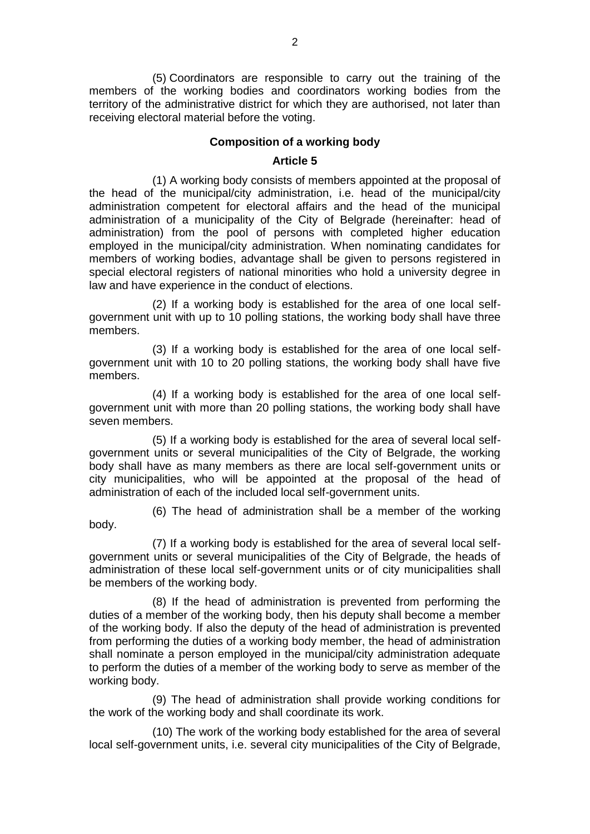(5) Coordinators are responsible to carry out the training of the members of the working bodies and coordinators working bodies from the territory of the administrative district for which they are authorised, not later than receiving electoral material before the voting.

### **Composition of a working body**

### **Article 5**

(1) A working body consists of members appointed at the proposal of the head of the municipal/city administration, i.e. head of the municipal/city administration competent for electoral affairs and the head of the municipal administration of a municipality of the City of Belgrade (hereinafter: head of administration) from the pool of persons with completed higher education employed in the municipal/city administration. When nominating candidates for members of working bodies, advantage shall be given to persons registered in special electoral registers of national minorities who hold a university degree in law and have experience in the conduct of elections.

(2) If a working body is established for the area of one local selfgovernment unit with up to 10 polling stations, the working body shall have three members.

(3) If a working body is established for the area of one local selfgovernment unit with 10 to 20 polling stations, the working body shall have five members.

(4) If a working body is established for the area of one local selfgovernment unit with more than 20 polling stations, the working body shall have seven members.

(5) If a working body is established for the area of several local selfgovernment units or several municipalities of the City of Belgrade, the working body shall have as many members as there are local self-government units or city municipalities, who will be appointed at the proposal of the head of administration of each of the included local self-government units.

(6) The head of administration shall be a member of the working body.

(7) If a working body is established for the area of several local selfgovernment units or several municipalities of the City of Belgrade, the heads of administration of these local self-government units or of city municipalities shall be members of the working body.

(8) If the head of administration is prevented from performing the duties of a member of the working body, then his deputy shall become a member of the working body. If also the deputy of the head of administration is prevented from performing the duties of a working body member, the head of administration shall nominate a person employed in the municipal/city administration adequate to perform the duties of a member of the working body to serve as member of the working body.

(9) The head of administration shall provide working conditions for the work of the working body and shall coordinate its work.

(10) The work of the working body established for the area of several local self-government units, i.e. several city municipalities of the City of Belgrade,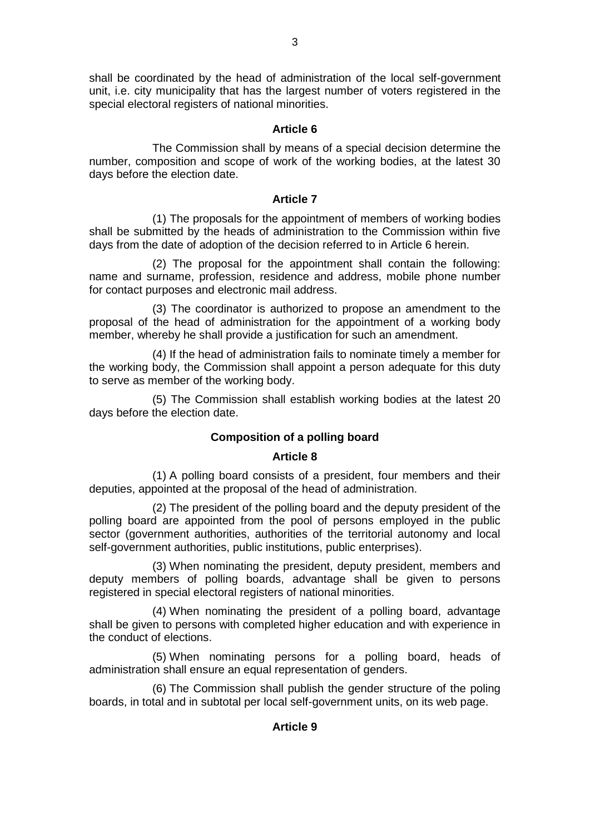shall be coordinated by the head of administration of the local self-government unit, i.e. city municipality that has the largest number of voters registered in the special electoral registers of national minorities.

# **Article 6**

The Commission shall by means of a special decision determine the number, composition and scope of work of the working bodies, at the latest 30 days before the election date.

### **Article 7**

(1) The proposals for the appointment of members of working bodies shall be submitted by the heads of administration to the Commission within five days from the date of adoption of the decision referred to in Article 6 herein.

(2) The proposal for the appointment shall contain the following: name and surname, profession, residence and address, mobile phone number for contact purposes and electronic mail address.

(3) The coordinator is authorized to propose an amendment to the proposal of the head of administration for the appointment of a working body member, whereby he shall provide a justification for such an amendment.

(4) If the head of administration fails to nominate timely a member for the working body, the Commission shall appoint a person adequate for this duty to serve as member of the working body.

(5) The Commission shall establish working bodies at the latest 20 days before the election date.

# **Composition of a polling board**

# **Article 8**

(1) A polling board consists of a president, four members and their deputies, appointed at the proposal of the head of administration.

(2) The president of the polling board and the deputy president of the polling board are appointed from the pool of persons employed in the public sector (government authorities, authorities of the territorial autonomy and local self-government authorities, public institutions, public enterprises).

(3) When nominating the president, deputy president, members and deputy members of polling boards, advantage shall be given to persons registered in special electoral registers of national minorities.

(4) When nominating the president of a polling board, advantage shall be given to persons with completed higher education and with experience in the conduct of elections.

(5) When nominating persons for a polling board, heads of administration shall ensure an equal representation of genders.

(6) The Commission shall publish the gender structure of the poling boards, in total and in subtotal per local self-government units, on its web page.

# **Article 9**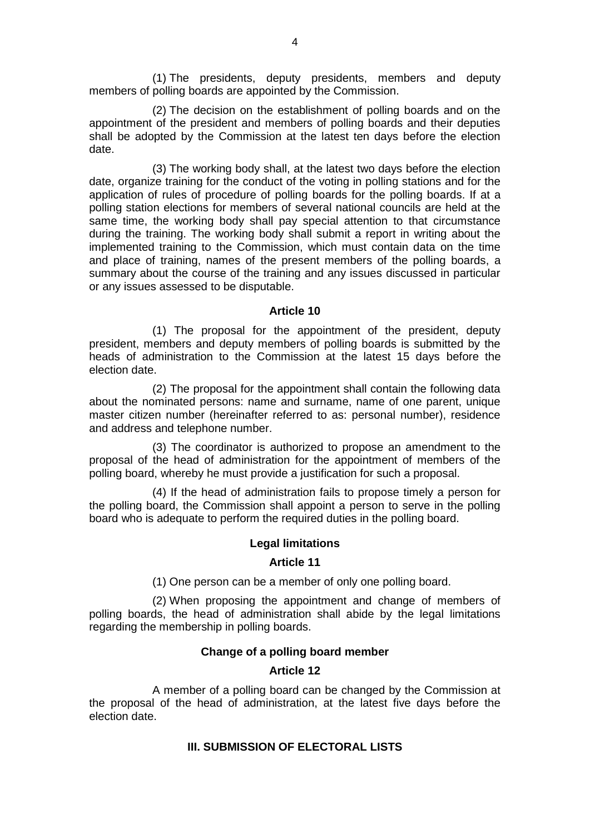(1) The presidents, deputy presidents, members and deputy members of polling boards are appointed by the Commission.

(2) The decision on the establishment of polling boards and on the appointment of the president and members of polling boards and their deputies shall be adopted by the Commission at the latest ten days before the election date.

(3) The working body shall, at the latest two days before the election date, organize training for the conduct of the voting in polling stations and for the application of rules of procedure of polling boards for the polling boards. If at a polling station elections for members of several national councils are held at the same time, the working body shall pay special attention to that circumstance during the training. The working body shall submit a report in writing about the implemented training to the Commission, which must contain data on the time and place of training, names of the present members of the polling boards, a summary about the course of the training and any issues discussed in particular or any issues assessed to be disputable.

### **Article 10**

(1) The proposal for the appointment of the president, deputy president, members and deputy members of polling boards is submitted by the heads of administration to the Commission at the latest 15 days before the election date.

(2) The proposal for the appointment shall contain the following data about the nominated persons: name and surname, name of one parent, unique master citizen number (hereinafter referred to as: personal number), residence and address and telephone number.

(3) The coordinator is authorized to propose an amendment to the proposal of the head of administration for the appointment of members of the polling board, whereby he must provide a justification for such a proposal.

(4) If the head of administration fails to propose timely a person for the polling board, the Commission shall appoint a person to serve in the polling board who is adequate to perform the required duties in the polling board.

#### **Legal limitations**

#### **Article 11**

(1) One person can be a member of only one polling board.

(2) When proposing the appointment and change of members of polling boards, the head of administration shall abide by the legal limitations regarding the membership in polling boards.

### **Change of a polling board member**

#### **Article 12**

A member of a polling board can be changed by the Commission at the proposal of the head of administration, at the latest five days before the election date.

### **III. SUBMISSION OF ELECTORAL LISTS**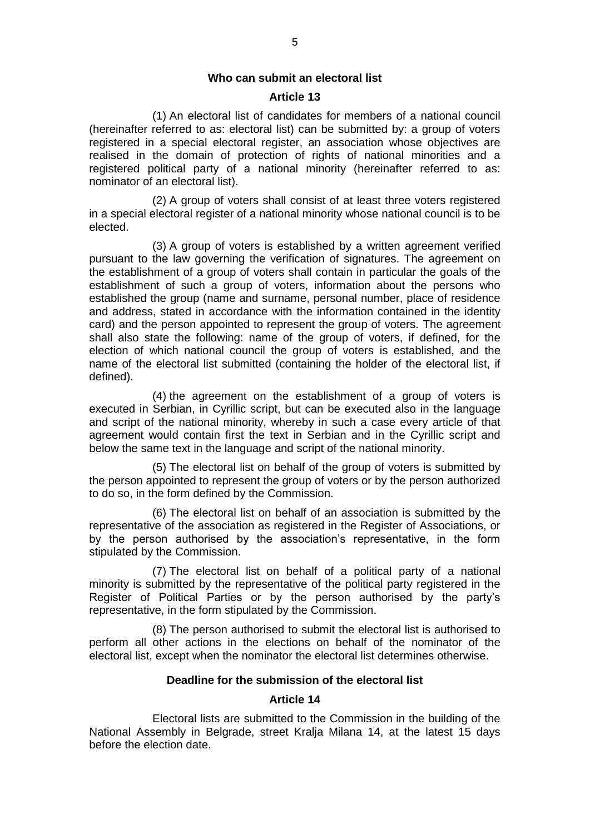#### **Who can submit an electoral list**

#### **Article 13**

(1) An electoral list of candidates for members of a national council (hereinafter referred to as: electoral list) can be submitted by: a group of voters registered in a special electoral register, an association whose objectives are realised in the domain of protection of rights of national minorities and a registered political party of a national minority (hereinafter referred to as: nominator of an electoral list).

(2) A group of voters shall consist of at least three voters registered in a special electoral register of a national minority whose national council is to be elected.

(3) A group of voters is established by a written agreement verified pursuant to the law governing the verification of signatures. The agreement on the establishment of a group of voters shall contain in particular the goals of the establishment of such a group of voters, information about the persons who established the group (name and surname, personal number, place of residence and address, stated in accordance with the information contained in the identity card) and the person appointed to represent the group of voters. The agreement shall also state the following: name of the group of voters, if defined, for the election of which national council the group of voters is established, and the name of the electoral list submitted (containing the holder of the electoral list, if defined).

(4) the agreement on the establishment of a group of voters is executed in Serbian, in Cyrillic script, but can be executed also in the language and script of the national minority, whereby in such a case every article of that agreement would contain first the text in Serbian and in the Cyrillic script and below the same text in the language and script of the national minority.

(5) The electoral list on behalf of the group of voters is submitted by the person appointed to represent the group of voters or by the person authorized to do so, in the form defined by the Commission.

(6) The electoral list on behalf of an association is submitted by the representative of the association as registered in the Register of Associations, or by the person authorised by the association's representative, in the form stipulated by the Commission.

(7) The electoral list on behalf of a political party of a national minority is submitted by the representative of the political party registered in the Register of Political Parties or by the person authorised by the party's representative, in the form stipulated by the Commission.

(8) The person authorised to submit the electoral list is authorised to perform all other actions in the elections on behalf of the nominator of the electoral list, except when the nominator the electoral list determines otherwise.

#### **Deadline for the submission of the electoral list**

### **Article 14**

Electoral lists are submitted to the Commission in the building of the National Assembly in Belgrade, street Kralja Milana 14, at the latest 15 days before the election date.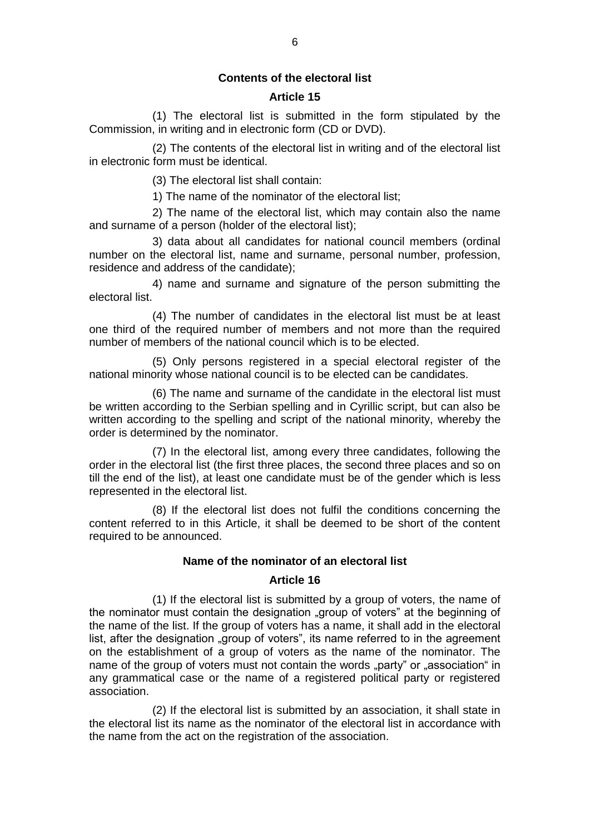### **Contents of the electoral list**

### **Article 15**

(1) The electoral list is submitted in the form stipulated by the Commission, in writing and in electronic form (CD or DVD).

(2) The contents of the electoral list in writing and of the electoral list in electronic form must be identical.

(3) The electoral list shall contain:

1) The name of the nominator of the electoral list;

2) The name of the electoral list, which may contain also the name and surname of a person (holder of the electoral list);

3) data about all candidates for national council members (ordinal number on the electoral list, name and surname, personal number, profession, residence and address of the candidate);

4) name and surname and signature of the person submitting the electoral list.

(4) The number of candidates in the electoral list must be at least one third of the required number of members and not more than the required number of members of the national council which is to be elected.

(5) Only persons registered in a special electoral register of the national minority whose national council is to be elected can be candidates.

(6) The name and surname of the candidate in the electoral list must be written according to the Serbian spelling and in Cyrillic script, but can also be written according to the spelling and script of the national minority, whereby the order is determined by the nominator.

(7) In the electoral list, among every three candidates, following the order in the electoral list (the first three places, the second three places and so on till the end of the list), at least one candidate must be of the gender which is less represented in the electoral list.

(8) If the electoral list does not fulfil the conditions concerning the content referred to in this Article, it shall be deemed to be short of the content required to be announced.

#### **Name of the nominator of an electoral list**

### **Article 16**

(1) If the electoral list is submitted by a group of voters, the name of the nominator must contain the designation "group of voters" at the beginning of the name of the list. If the group of voters has a name, it shall add in the electoral list, after the designation "group of voters", its name referred to in the agreement on the establishment of a group of voters as the name of the nominator. The name of the group of voters must not contain the words "party" or "association" in any grammatical case or the name of a registered political party or registered association.

(2) If the electoral list is submitted by an association, it shall state in the electoral list its name as the nominator of the electoral list in accordance with the name from the act on the registration of the association.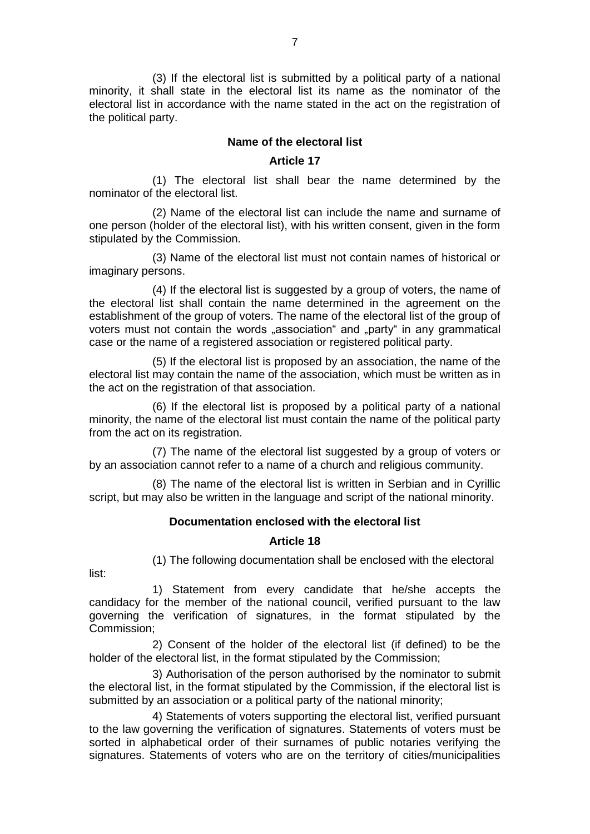(3) If the electoral list is submitted by a political party of a national minority, it shall state in the electoral list its name as the nominator of the electoral list in accordance with the name stated in the act on the registration of the political party.

### **Name of the electoral list**

### **Article 17**

(1) The electoral list shall bear the name determined by the nominator of the electoral list.

(2) Name of the electoral list can include the name and surname of one person (holder of the electoral list), with his written consent, given in the form stipulated by the Commission.

(3) Name of the electoral list must not contain names of historical or imaginary persons.

(4) If the electoral list is suggested by a group of voters, the name of the electoral list shall contain the name determined in the agreement on the establishment of the group of voters. The name of the electoral list of the group of voters must not contain the words "association" and "party" in any grammatical case or the name of a registered association or registered political party.

(5) If the electoral list is proposed by an association, the name of the electoral list may contain the name of the association, which must be written as in the act on the registration of that association.

(6) If the electoral list is proposed by a political party of a national minority, the name of the electoral list must contain the name of the political party from the act on its registration.

(7) The name of the electoral list suggested by a group of voters or by an association cannot refer to a name of a church and religious community.

(8) The name of the electoral list is written in Serbian and in Cyrillic script, but may also be written in the language and script of the national minority.

#### **Documentation enclosed with the electoral list**

#### **Article 18**

(1) The following documentation shall be enclosed with the electoral

list:

1) Statement from every candidate that he/she accepts the candidacy for the member of the national council, verified pursuant to the law governing the verification of signatures, in the format stipulated by the Commission;

2) Consent of the holder of the electoral list (if defined) to be the holder of the electoral list, in the format stipulated by the Commission;

3) Authorisation of the person authorised by the nominator to submit the electoral list, in the format stipulated by the Commission, if the electoral list is submitted by an association or a political party of the national minority;

4) Statements of voters supporting the electoral list, verified pursuant to the law governing the verification of signatures. Statements of voters must be sorted in alphabetical order of their surnames of public notaries verifying the signatures. Statements of voters who are on the territory of cities/municipalities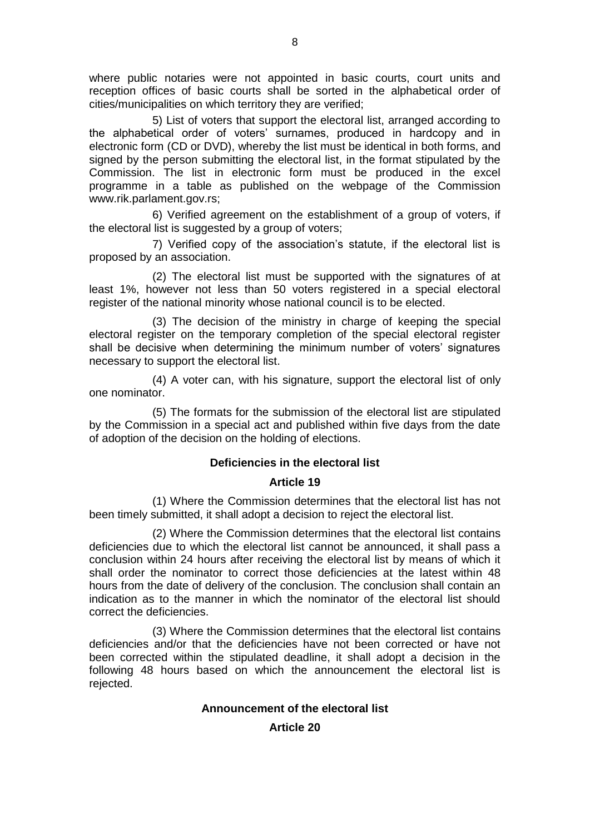where public notaries were not appointed in basic courts, court units and reception offices of basic courts shall be sorted in the alphabetical order of cities/municipalities on which territory they are verified;

5) List of voters that support the electoral list, arranged according to the alphabetical order of voters' surnames, produced in hardcopy and in electronic form (CD or DVD), whereby the list must be identical in both forms, and signed by the person submitting the electoral list, in the format stipulated by the Commission. The list in electronic form must be produced in the excel programme in a table as published on the webpage of the Commission www.rik.parlament.gov.rs;

6) Verified agreement on the establishment of a group of voters, if the electoral list is suggested by a group of voters;

7) Verified copy of the association's statute, if the electoral list is proposed by an association.

(2) The electoral list must be supported with the signatures of at least 1%, however not less than 50 voters registered in a special electoral register of the national minority whose national council is to be elected.

(3) The decision of the ministry in charge of keeping the special electoral register on the temporary completion of the special electoral register shall be decisive when determining the minimum number of voters' signatures necessary to support the electoral list.

(4) A voter can, with his signature, support the electoral list of only one nominator.

(5) The formats for the submission of the electoral list are stipulated by the Commission in a special act and published within five days from the date of adoption of the decision on the holding of elections.

### **Deficiencies in the electoral list**

### **Article 19**

(1) Where the Commission determines that the electoral list has not been timely submitted, it shall adopt a decision to reject the electoral list.

(2) Where the Commission determines that the electoral list contains deficiencies due to which the electoral list cannot be announced, it shall pass a conclusion within 24 hours after receiving the electoral list by means of which it shall order the nominator to correct those deficiencies at the latest within 48 hours from the date of delivery of the conclusion. The conclusion shall contain an indication as to the manner in which the nominator of the electoral list should correct the deficiencies.

(3) Where the Commission determines that the electoral list contains deficiencies and/or that the deficiencies have not been corrected or have not been corrected within the stipulated deadline, it shall adopt a decision in the following 48 hours based on which the announcement the electoral list is rejected.

### **Announcement of the electoral list**

### **Article 20**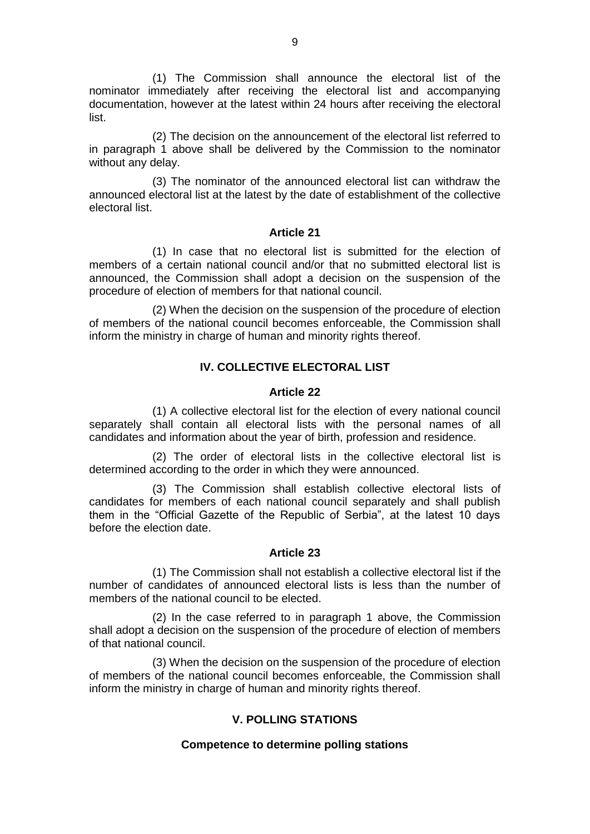(1) The Commission shall announce the electoral list of the nominator immediately after receiving the electoral list and accompanying documentation, however at the latest within 24 hours after receiving the electoral list.

(2) The decision on the announcement of the electoral list referred to in paragraph 1 above shall be delivered by the Commission to the nominator without any delay.

(3) The nominator of the announced electoral list can withdraw the announced electoral list at the latest by the date of establishment of the collective electoral list.

#### **Article 21**

(1) In case that no electoral list is submitted for the election of members of a certain national council and/or that no submitted electoral list is announced, the Commission shall adopt a decision on the suspension of the procedure of election of members for that national council.

(2) When the decision on the suspension of the procedure of election of members of the national council becomes enforceable, the Commission shall inform the ministry in charge of human and minority rights thereof.

### **IV. COLLECTIVE ELECTORAL LIST**

#### **Article 22**

(1) A collective electoral list for the election of every national council separately shall contain all electoral lists with the personal names of all candidates and information about the year of birth, profession and residence.

(2) The order of electoral lists in the collective electoral list is determined according to the order in which they were announced.

(3) The Commission shall establish collective electoral lists of candidates for members of each national council separately and shall publish them in the "Official Gazette of the Republic of Serbia", at the latest 10 days before the election date.

#### **Article 23**

(1) The Commission shall not establish a collective electoral list if the number of candidates of announced electoral lists is less than the number of members of the national council to be elected.

(2) In the case referred to in paragraph 1 above, the Commission shall adopt a decision on the suspension of the procedure of election of members of that national council.

(3) When the decision on the suspension of the procedure of election of members of the national council becomes enforceable, the Commission shall inform the ministry in charge of human and minority rights thereof.

#### **V. POLLING STATIONS**

#### **Competence to determine polling stations**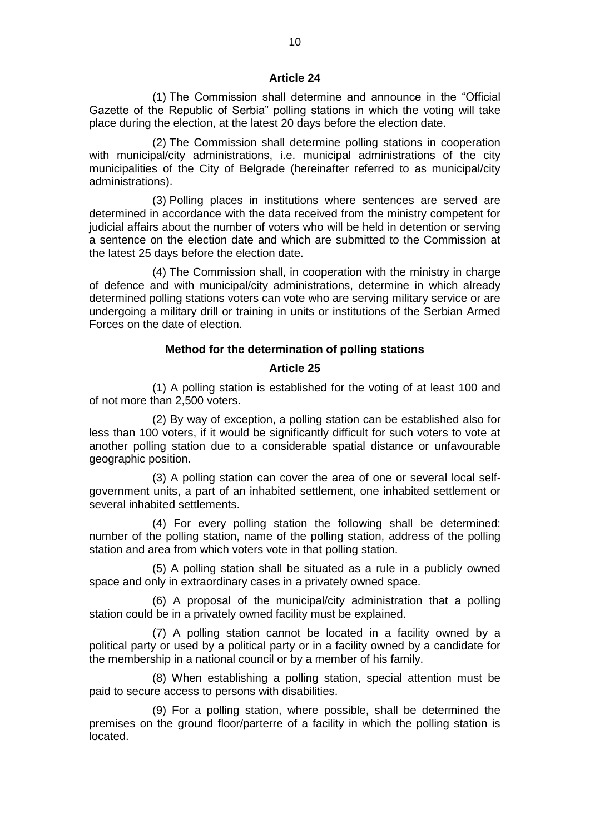#### **Article 24**

(1) The Commission shall determine and announce in the "Official Gazette of the Republic of Serbia" polling stations in which the voting will take place during the election, at the latest 20 days before the election date.

(2) The Commission shall determine polling stations in cooperation with municipal/city administrations, i.e. municipal administrations of the city municipalities of the City of Belgrade (hereinafter referred to as municipal/city administrations).

(3) Polling places in institutions where sentences are served are determined in accordance with the data received from the ministry competent for judicial affairs about the number of voters who will be held in detention or serving a sentence on the election date and which are submitted to the Commission at the latest 25 days before the election date.

(4) The Commission shall, in cooperation with the ministry in charge of defence and with municipal/city administrations, determine in which already determined polling stations voters can vote who are serving military service or are undergoing a military drill or training in units or institutions of the Serbian Armed Forces on the date of election.

### **Method for the determination of polling stations**

#### **Article 25**

(1) A polling station is established for the voting of at least 100 and of not more than 2,500 voters.

(2) By way of exception, a polling station can be established also for less than 100 voters, if it would be significantly difficult for such voters to vote at another polling station due to a considerable spatial distance or unfavourable geographic position.

(3) A polling station can cover the area of one or several local selfgovernment units, a part of an inhabited settlement, one inhabited settlement or several inhabited settlements.

(4) For every polling station the following shall be determined: number of the polling station, name of the polling station, address of the polling station and area from which voters vote in that polling station.

(5) A polling station shall be situated as a rule in a publicly owned space and only in extraordinary cases in a privately owned space.

(6) A proposal of the municipal/city administration that a polling station could be in a privately owned facility must be explained.

(7) A polling station cannot be located in a facility owned by a political party or used by a political party or in a facility owned by a candidate for the membership in a national council or by a member of his family.

(8) When establishing a polling station, special attention must be paid to secure access to persons with disabilities.

(9) For a polling station, where possible, shall be determined the premises on the ground floor/parterre of a facility in which the polling station is located.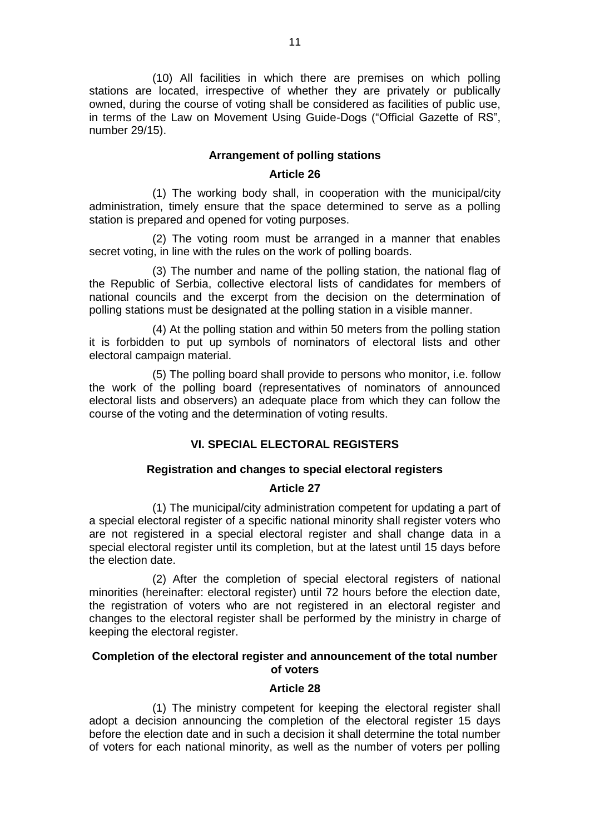(10) All facilities in which there are premises on which polling stations are located, irrespective of whether they are privately or publically owned, during the course of voting shall be considered as facilities of public use, in terms of the Law on Movement Using Guide-Dogs ("Official Gazette of RS", number 29/15).

### **Arrangement of polling stations**

### **Article 26**

(1) The working body shall, in cooperation with the municipal/city administration, timely ensure that the space determined to serve as a polling station is prepared and opened for voting purposes.

(2) The voting room must be arranged in a manner that enables secret voting, in line with the rules on the work of polling boards.

(3) The number and name of the polling station, the national flag of the Republic of Serbia, collective electoral lists of candidates for members of national councils and the excerpt from the decision on the determination of polling stations must be designated at the polling station in a visible manner.

(4) At the polling station and within 50 meters from the polling station it is forbidden to put up symbols of nominators of electoral lists and other electoral campaign material.

(5) The polling board shall provide to persons who monitor, i.e. follow the work of the polling board (representatives of nominators of announced electoral lists and observers) an adequate place from which they can follow the course of the voting and the determination of voting results.

# **VI. SPECIAL ELECTORAL REGISTERS**

### **Registration and changes to special electoral registers**

# **Article 27**

(1) The municipal/city administration competent for updating a part of a special electoral register of a specific national minority shall register voters who are not registered in a special electoral register and shall change data in a special electoral register until its completion, but at the latest until 15 days before the election date.

(2) After the completion of special electoral registers of national minorities (hereinafter: electoral register) until 72 hours before the election date, the registration of voters who are not registered in an electoral register and changes to the electoral register shall be performed by the ministry in charge of keeping the electoral register.

### **Completion of the electoral register and announcement of the total number of voters**

### **Article 28**

(1) The ministry competent for keeping the electoral register shall adopt a decision announcing the completion of the electoral register 15 days before the election date and in such a decision it shall determine the total number of voters for each national minority, as well as the number of voters per polling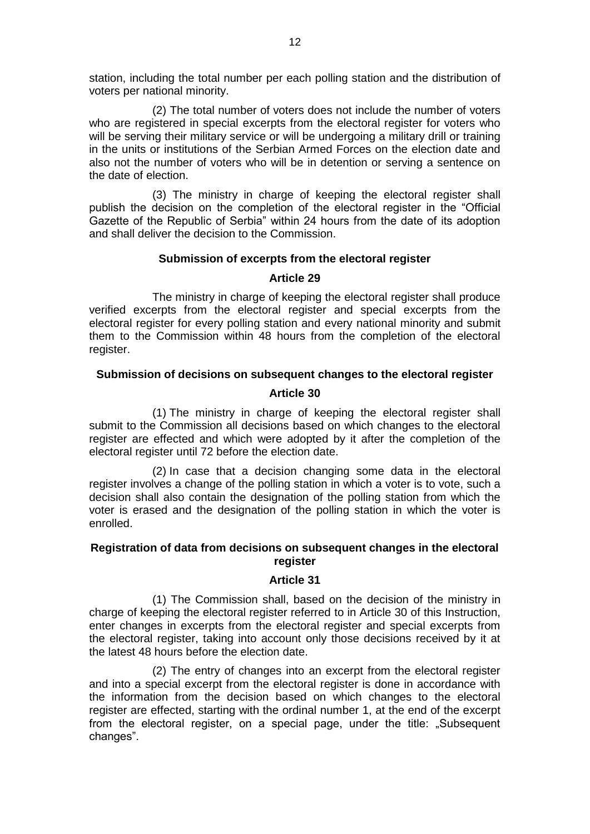station, including the total number per each polling station and the distribution of voters per national minority.

(2) The total number of voters does not include the number of voters who are registered in special excerpts from the electoral register for voters who will be serving their military service or will be undergoing a military drill or training in the units or institutions of the Serbian Armed Forces on the election date and also not the number of voters who will be in detention or serving a sentence on the date of election.

(3) The ministry in charge of keeping the electoral register shall publish the decision on the completion of the electoral register in the "Official Gazette of the Republic of Serbia" within 24 hours from the date of its adoption and shall deliver the decision to the Commission.

### **Submission of excerpts from the electoral register**

### **Article 29**

The ministry in charge of keeping the electoral register shall produce verified excerpts from the electoral register and special excerpts from the electoral register for every polling station and every national minority and submit them to the Commission within 48 hours from the completion of the electoral register.

### **Submission of decisions on subsequent changes to the electoral register**

### **Article 30**

(1) The ministry in charge of keeping the electoral register shall submit to the Commission all decisions based on which changes to the electoral register are effected and which were adopted by it after the completion of the electoral register until 72 before the election date.

(2) In case that a decision changing some data in the electoral register involves a change of the polling station in which a voter is to vote, such a decision shall also contain the designation of the polling station from which the voter is erased and the designation of the polling station in which the voter is enrolled.

### **Registration of data from decisions on subsequent changes in the electoral register**

#### **Article 31**

(1) The Commission shall, based on the decision of the ministry in charge of keeping the electoral register referred to in Article 30 of this Instruction, enter changes in excerpts from the electoral register and special excerpts from the electoral register, taking into account only those decisions received by it at the latest 48 hours before the election date.

(2) The entry of changes into an excerpt from the electoral register and into a special excerpt from the electoral register is done in accordance with the information from the decision based on which changes to the electoral register are effected, starting with the ordinal number 1, at the end of the excerpt from the electoral register, on a special page, under the title: "Subsequent changes".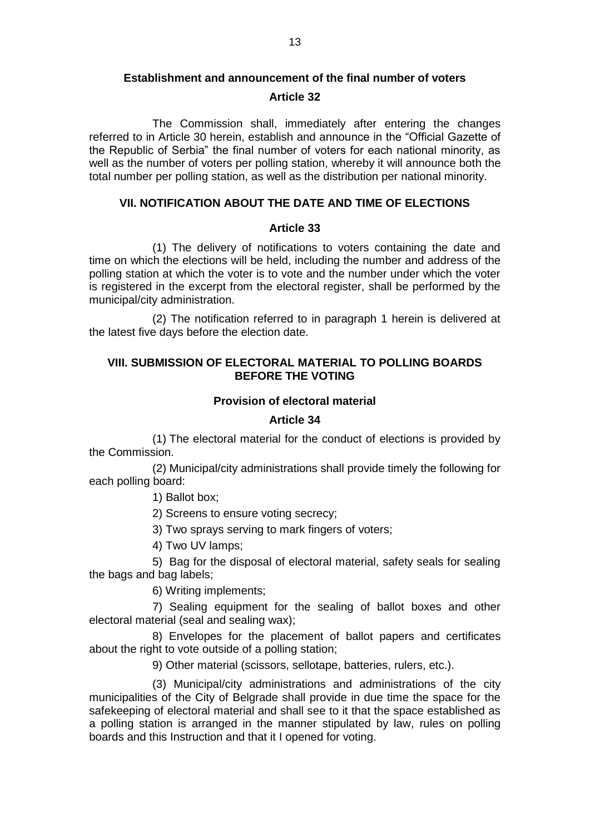### **Establishment and announcement of the final number of voters**

### **Article 32**

The Commission shall, immediately after entering the changes referred to in Article 30 herein, establish and announce in the "Official Gazette of the Republic of Serbia" the final number of voters for each national minority, as well as the number of voters per polling station, whereby it will announce both the total number per polling station, as well as the distribution per national minority.

### **VII. NOTIFICATION ABOUT THE DATE AND TIME OF ELECTIONS**

### **Article 33**

(1) The delivery of notifications to voters containing the date and time on which the elections will be held, including the number and address of the polling station at which the voter is to vote and the number under which the voter is registered in the excerpt from the electoral register, shall be performed by the municipal/city administration.

(2) The notification referred to in paragraph 1 herein is delivered at the latest five days before the election date.

# **VIII. SUBMISSION OF ELECTORAL MATERIAL TO POLLING BOARDS BEFORE THE VOTING**

### **Provision of electoral material**

### **Article 34**

(1) The electoral material for the conduct of elections is provided by the Commission.

(2) Municipal/city administrations shall provide timely the following for each polling board:

1) Ballot box;

2) Screens to ensure voting secrecy;

3) Two sprays serving to mark fingers of voters;

4) Two UV lamps;

5) Bag for the disposal of electoral material, safety seals for sealing the bags and bag labels;

6) Writing implements;

7) Sealing equipment for the sealing of ballot boxes and other electoral material (seal and sealing wax);

8) Envelopes for the placement of ballot papers and certificates about the right to vote outside of a polling station;

9) Other material (scissors, sellotape, batteries, rulers, etc.).

(3) Municipal/city administrations and administrations of the city municipalities of the City of Belgrade shall provide in due time the space for the safekeeping of electoral material and shall see to it that the space established as a polling station is arranged in the manner stipulated by law, rules on polling boards and this Instruction and that it I opened for voting.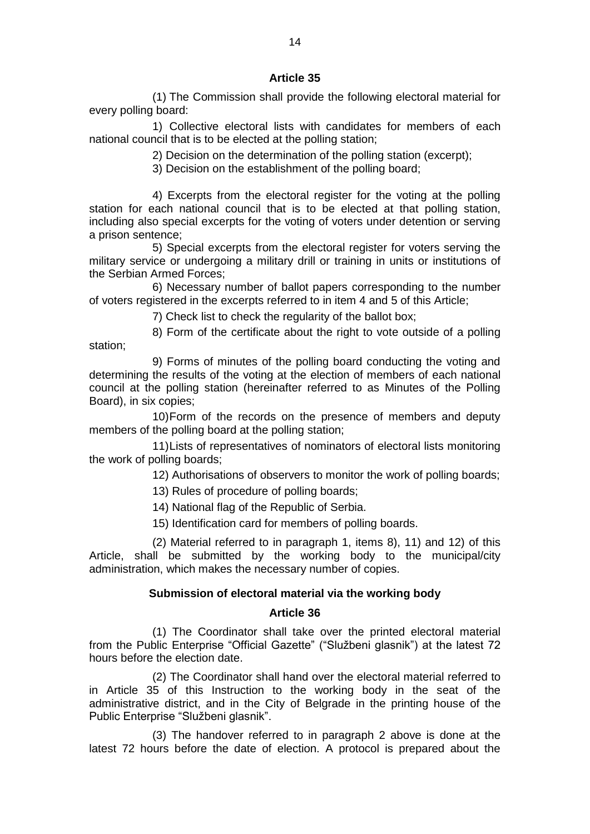### **Article 35**

(1) The Commission shall provide the following electoral material for every polling board:

1) Collective electoral lists with candidates for members of each national council that is to be elected at the polling station;

2) Decision on the determination of the polling station (excerpt);

3) Decision on the establishment of the polling board;

4) Excerpts from the electoral register for the voting at the polling station for each national council that is to be elected at that polling station, including also special excerpts for the voting of voters under detention or serving a prison sentence;

5) Special excerpts from the electoral register for voters serving the military service or undergoing a military drill or training in units or institutions of the Serbian Armed Forces;

6) Necessary number of ballot papers corresponding to the number of voters registered in the excerpts referred to in item 4 and 5 of this Article;

7) Check list to check the regularity of the ballot box;

8) Form of the certificate about the right to vote outside of a polling station;

9) Forms of minutes of the polling board conducting the voting and determining the results of the voting at the election of members of each national council at the polling station (hereinafter referred to as Minutes of the Polling Board), in six copies;

10)Form of the records on the presence of members and deputy members of the polling board at the polling station;

11)Lists of representatives of nominators of electoral lists monitoring the work of polling boards;

12) Authorisations of observers to monitor the work of polling boards;

13) Rules of procedure of polling boards;

14) National flag of the Republic of Serbia.

15) Identification card for members of polling boards.

(2) Material referred to in paragraph 1, items 8), 11) and 12) of this Article, shall be submitted by the working body to the municipal/city administration, which makes the necessary number of copies.

#### **Submission of electoral material via the working body**

#### **Article 36**

(1) The Coordinator shall take over the printed electoral material from the Public Enterprise "Official Gazette" ("Službeni glasnik") at the latest 72 hours before the election date.

(2) The Coordinator shall hand over the electoral material referred to in Article 35 of this Instruction to the working body in the seat of the administrative district, and in the City of Belgrade in the printing house of the Public Enterprise "Službeni glasnik".

(3) The handover referred to in paragraph 2 above is done at the latest 72 hours before the date of election. A protocol is prepared about the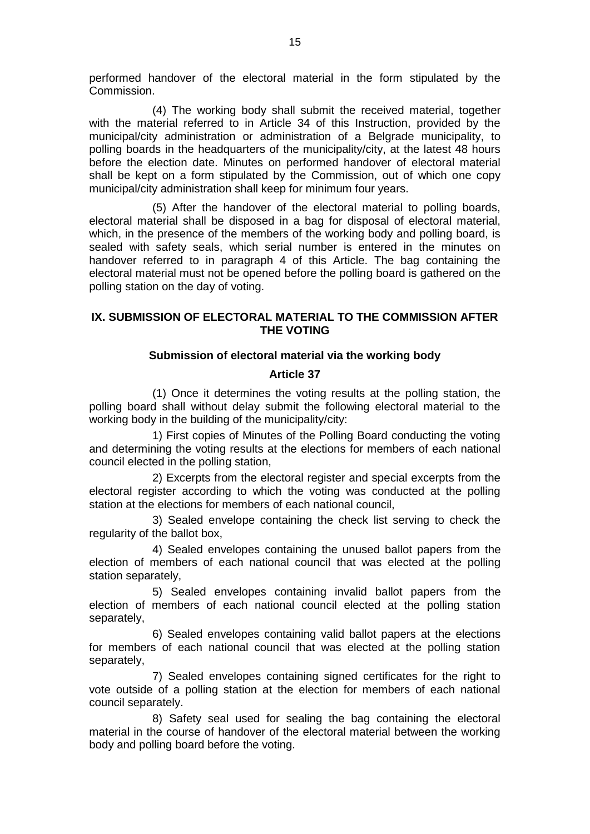performed handover of the electoral material in the form stipulated by the Commission.

(4) The working body shall submit the received material, together with the material referred to in Article 34 of this Instruction, provided by the municipal/city administration or administration of a Belgrade municipality, to polling boards in the headquarters of the municipality/city, at the latest 48 hours before the election date. Minutes on performed handover of electoral material shall be kept on a form stipulated by the Commission, out of which one copy municipal/city administration shall keep for minimum four years.

(5) After the handover of the electoral material to polling boards, electoral material shall be disposed in a bag for disposal of electoral material, which, in the presence of the members of the working body and polling board, is sealed with safety seals, which serial number is entered in the minutes on handover referred to in paragraph 4 of this Article. The bag containing the electoral material must not be opened before the polling board is gathered on the polling station on the day of voting.

### **IX. SUBMISSION OF ELECTORAL MATERIAL TO THE COMMISSION AFTER THE VOTING**

### **Submission of electoral material via the working body**

### **Article 37**

(1) Once it determines the voting results at the polling station, the polling board shall without delay submit the following electoral material to the working body in the building of the municipality/city:

1) First copies of Minutes of the Polling Board conducting the voting and determining the voting results at the elections for members of each national council elected in the polling station,

2) Excerpts from the electoral register and special excerpts from the electoral register according to which the voting was conducted at the polling station at the elections for members of each national council,

3) Sealed envelope containing the check list serving to check the regularity of the ballot box,

4) Sealed envelopes containing the unused ballot papers from the election of members of each national council that was elected at the polling station separately,

5) Sealed envelopes containing invalid ballot papers from the election of members of each national council elected at the polling station separately,

6) Sealed envelopes containing valid ballot papers at the elections for members of each national council that was elected at the polling station separately,

7) Sealed envelopes containing signed certificates for the right to vote outside of a polling station at the election for members of each national council separately.

8) Safety seal used for sealing the bag containing the electoral material in the course of handover of the electoral material between the working body and polling board before the voting.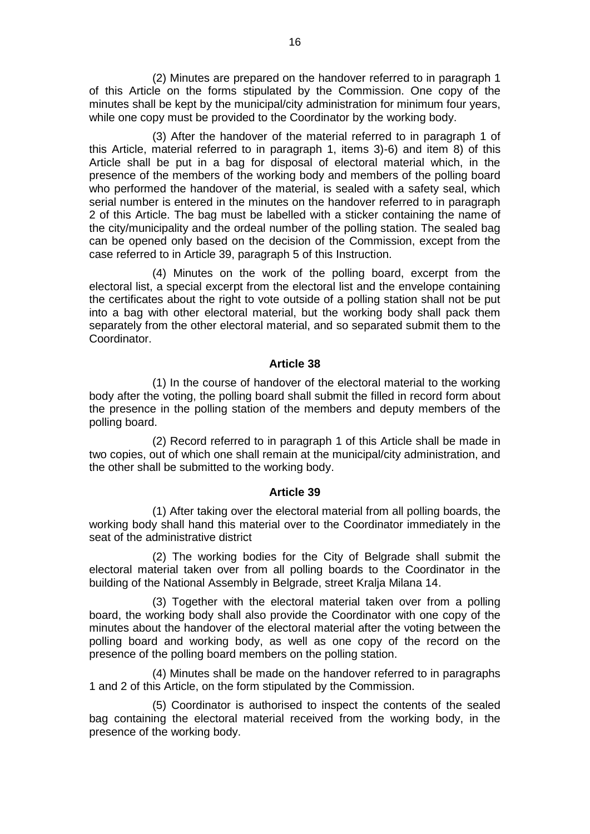(2) Minutes are prepared on the handover referred to in paragraph 1 of this Article on the forms stipulated by the Commission. One copy of the minutes shall be kept by the municipal/city administration for minimum four years, while one copy must be provided to the Coordinator by the working body.

(3) After the handover of the material referred to in paragraph 1 of this Article, material referred to in paragraph 1, items 3)-6) and item 8) of this Article shall be put in a bag for disposal of electoral material which, in the presence of the members of the working body and members of the polling board who performed the handover of the material, is sealed with a safety seal, which serial number is entered in the minutes on the handover referred to in paragraph 2 of this Article. The bag must be labelled with a sticker containing the name of the city/municipality and the ordeal number of the polling station. The sealed bag can be opened only based on the decision of the Commission, except from the case referred to in Article 39, paragraph 5 of this Instruction.

(4) Minutes on the work of the polling board, excerpt from the electoral list, a special excerpt from the electoral list and the envelope containing the certificates about the right to vote outside of a polling station shall not be put into a bag with other electoral material, but the working body shall pack them separately from the other electoral material, and so separated submit them to the Coordinator.

#### **Article 38**

(1) In the course of handover of the electoral material to the working body after the voting, the polling board shall submit the filled in record form about the presence in the polling station of the members and deputy members of the polling board.

(2) Record referred to in paragraph 1 of this Article shall be made in two copies, out of which one shall remain at the municipal/city administration, and the other shall be submitted to the working body.

#### **Article 39**

(1) After taking over the electoral material from all polling boards, the working body shall hand this material over to the Coordinator immediately in the seat of the administrative district

(2) The working bodies for the City of Belgrade shall submit the electoral material taken over from all polling boards to the Coordinator in the building of the National Assembly in Belgrade, street Kralja Milana 14.

(3) Together with the electoral material taken over from a polling board, the working body shall also provide the Coordinator with one copy of the minutes about the handover of the electoral material after the voting between the polling board and working body, as well as one copy of the record on the presence of the polling board members on the polling station.

(4) Minutes shall be made on the handover referred to in paragraphs 1 and 2 of this Article, on the form stipulated by the Commission.

(5) Coordinator is authorised to inspect the contents of the sealed bag containing the electoral material received from the working body, in the presence of the working body.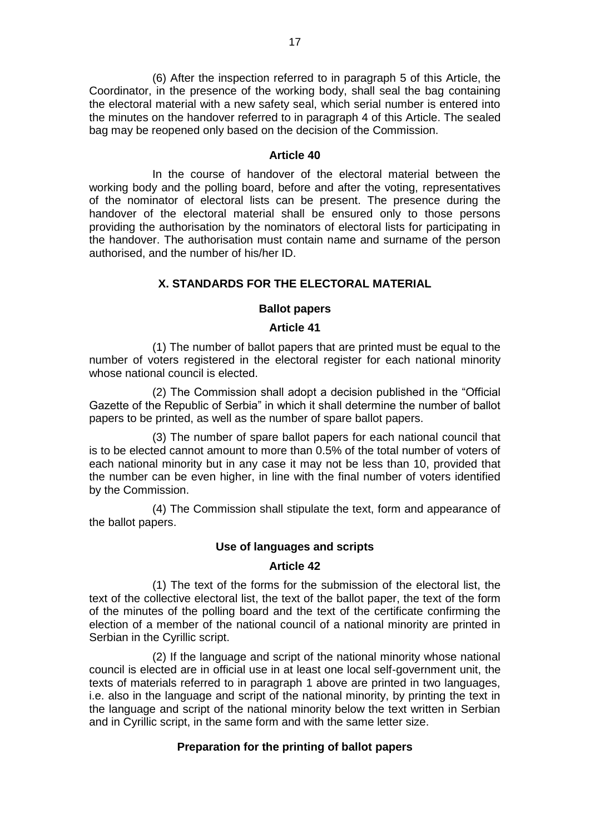(6) After the inspection referred to in paragraph 5 of this Article, the Coordinator, in the presence of the working body, shall seal the bag containing the electoral material with a new safety seal, which serial number is entered into the minutes on the handover referred to in paragraph 4 of this Article. The sealed bag may be reopened only based on the decision of the Commission.

#### **Article 40**

In the course of handover of the electoral material between the working body and the polling board, before and after the voting, representatives of the nominator of electoral lists can be present. The presence during the handover of the electoral material shall be ensured only to those persons providing the authorisation by the nominators of electoral lists for participating in the handover. The authorisation must contain name and surname of the person authorised, and the number of his/her ID.

### **X. STANDARDS FOR THE ELECTORAL MATERIAL**

#### **Ballot papers**

#### **Article 41**

(1) The number of ballot papers that are printed must be equal to the number of voters registered in the electoral register for each national minority whose national council is elected.

(2) The Commission shall adopt a decision published in the "Official Gazette of the Republic of Serbia" in which it shall determine the number of ballot papers to be printed, as well as the number of spare ballot papers.

(3) The number of spare ballot papers for each national council that is to be elected cannot amount to more than 0.5% of the total number of voters of each national minority but in any case it may not be less than 10, provided that the number can be even higher, in line with the final number of voters identified by the Commission.

(4) The Commission shall stipulate the text, form and appearance of the ballot papers.

### **Use of languages and scripts**

#### **Article 42**

(1) The text of the forms for the submission of the electoral list, the text of the collective electoral list, the text of the ballot paper, the text of the form of the minutes of the polling board and the text of the certificate confirming the election of a member of the national council of a national minority are printed in Serbian in the Cyrillic script.

(2) If the language and script of the national minority whose national council is elected are in official use in at least one local self-government unit, the texts of materials referred to in paragraph 1 above are printed in two languages, i.e. also in the language and script of the national minority, by printing the text in the language and script of the national minority below the text written in Serbian and in Cyrillic script, in the same form and with the same letter size.

#### **Preparation for the printing of ballot papers**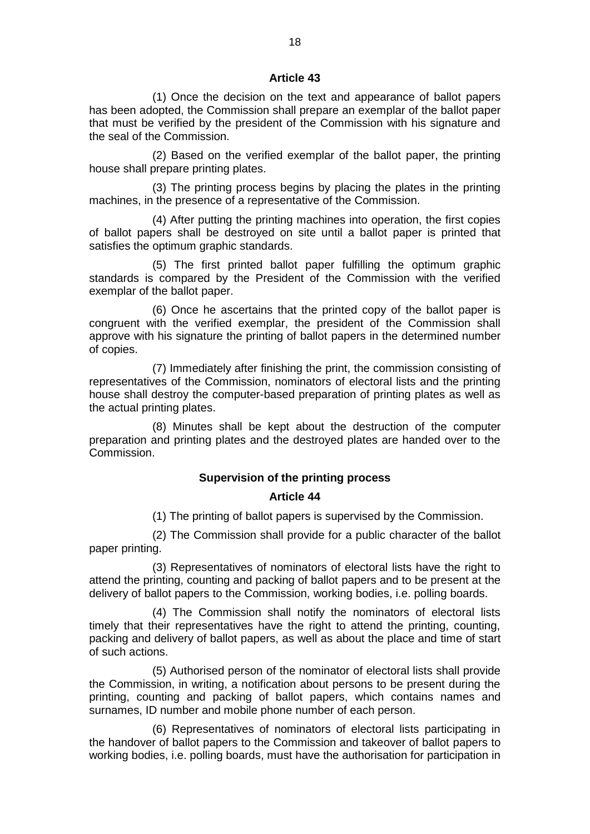#### **Article 43**

(1) Once the decision on the text and appearance of ballot papers has been adopted, the Commission shall prepare an exemplar of the ballot paper that must be verified by the president of the Commission with his signature and the seal of the Commission.

(2) Based on the verified exemplar of the ballot paper, the printing house shall prepare printing plates.

(3) The printing process begins by placing the plates in the printing machines, in the presence of a representative of the Commission.

(4) After putting the printing machines into operation, the first copies of ballot papers shall be destroyed on site until a ballot paper is printed that satisfies the optimum graphic standards.

(5) The first printed ballot paper fulfilling the optimum graphic standards is compared by the President of the Commission with the verified exemplar of the ballot paper.

(6) Once he ascertains that the printed copy of the ballot paper is congruent with the verified exemplar, the president of the Commission shall approve with his signature the printing of ballot papers in the determined number of copies.

(7) Immediately after finishing the print, the commission consisting of representatives of the Commission, nominators of electoral lists and the printing house shall destroy the computer-based preparation of printing plates as well as the actual printing plates.

(8) Minutes shall be kept about the destruction of the computer preparation and printing plates and the destroyed plates are handed over to the **Commission** 

#### **Supervision of the printing process**

#### **Article 44**

(1) The printing of ballot papers is supervised by the Commission.

(2) The Commission shall provide for a public character of the ballot paper printing.

(3) Representatives of nominators of electoral lists have the right to attend the printing, counting and packing of ballot papers and to be present at the delivery of ballot papers to the Commission, working bodies, i.e. polling boards.

(4) The Commission shall notify the nominators of electoral lists timely that their representatives have the right to attend the printing, counting, packing and delivery of ballot papers, as well as about the place and time of start of such actions.

(5) Authorised person of the nominator of electoral lists shall provide the Commission, in writing, a notification about persons to be present during the printing, counting and packing of ballot papers, which contains names and surnames, ID number and mobile phone number of each person.

(6) Representatives of nominators of electoral lists participating in the handover of ballot papers to the Commission and takeover of ballot papers to working bodies, i.e. polling boards, must have the authorisation for participation in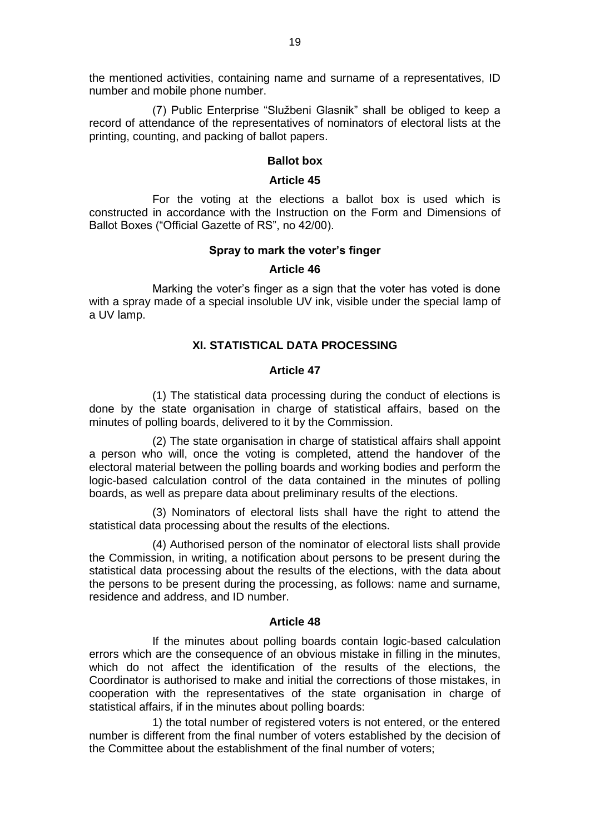the mentioned activities, containing name and surname of a representatives, ID number and mobile phone number.

(7) Public Enterprise "Službeni Glasnik" shall be obliged to keep a record of attendance of the representatives of nominators of electoral lists at the printing, counting, and packing of ballot papers.

#### **Ballot box**

#### **Article 45**

For the voting at the elections a ballot box is used which is constructed in accordance with the Instruction on the Form and Dimensions of Ballot Boxes ("Official Gazette of RS", no 42/00).

### **Spray to mark the voter's finger**

### **Article 46**

Marking the voter's finger as a sign that the voter has voted is done with a spray made of a special insoluble UV ink, visible under the special lamp of a UV lamp.

### **XI. STATISTICAL DATA PROCESSING**

### **Article 47**

(1) The statistical data processing during the conduct of elections is done by the state organisation in charge of statistical affairs, based on the minutes of polling boards, delivered to it by the Commission.

(2) The state organisation in charge of statistical affairs shall appoint a person who will, once the voting is completed, attend the handover of the electoral material between the polling boards and working bodies and perform the logic-based calculation control of the data contained in the minutes of polling boards, as well as prepare data about preliminary results of the elections.

(3) Nominators of electoral lists shall have the right to attend the statistical data processing about the results of the elections.

(4) Authorised person of the nominator of electoral lists shall provide the Commission, in writing, a notification about persons to be present during the statistical data processing about the results of the elections, with the data about the persons to be present during the processing, as follows: name and surname, residence and address, and ID number.

#### **Article 48**

If the minutes about polling boards contain logic-based calculation errors which are the consequence of an obvious mistake in filling in the minutes, which do not affect the identification of the results of the elections, the Coordinator is authorised to make and initial the corrections of those mistakes, in cooperation with the representatives of the state organisation in charge of statistical affairs, if in the minutes about polling boards:

1) the total number of registered voters is not entered, or the entered number is different from the final number of voters established by the decision of the Committee about the establishment of the final number of voters;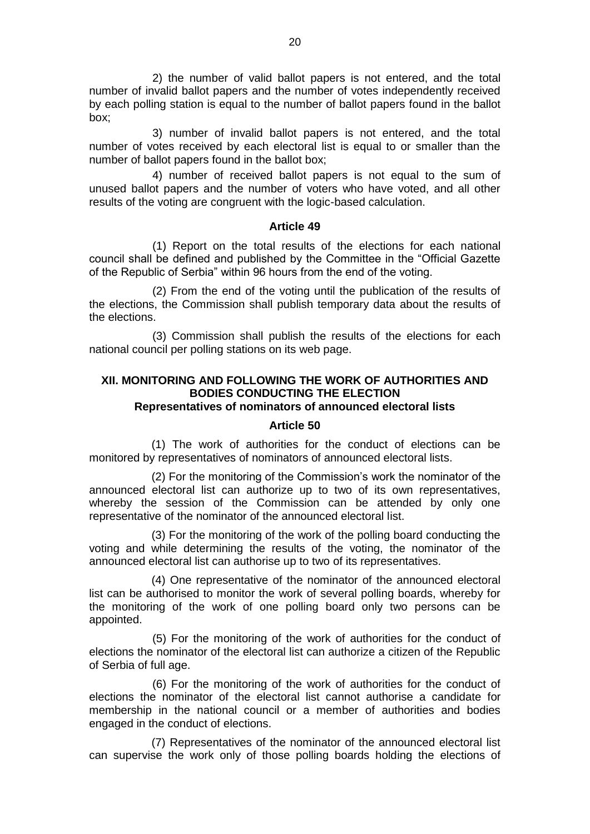2) the number of valid ballot papers is not entered, and the total number of invalid ballot papers and the number of votes independently received by each polling station is equal to the number of ballot papers found in the ballot box;

3) number of invalid ballot papers is not entered, and the total number of votes received by each electoral list is equal to or smaller than the number of ballot papers found in the ballot box;

4) number of received ballot papers is not equal to the sum of unused ballot papers and the number of voters who have voted, and all other results of the voting are congruent with the logic-based calculation.

#### **Article 49**

(1) Report on the total results of the elections for each national council shall be defined and published by the Committee in the "Official Gazette of the Republic of Serbia" within 96 hours from the end of the voting.

(2) From the end of the voting until the publication of the results of the elections, the Commission shall publish temporary data about the results of the elections.

(3) Commission shall publish the results of the elections for each national council per polling stations on its web page.

# **XII. MONITORING AND FOLLOWING THE WORK OF AUTHORITIES AND BODIES CONDUCTING THE ELECTION**

### **Representatives of nominators of announced electoral lists**

#### **Article 50**

(1) The work of authorities for the conduct of elections can be monitored by representatives of nominators of announced electoral lists.

(2) For the monitoring of the Commission's work the nominator of the announced electoral list can authorize up to two of its own representatives, whereby the session of the Commission can be attended by only one representative of the nominator of the announced electoral list.

(3) For the monitoring of the work of the polling board conducting the voting and while determining the results of the voting, the nominator of the announced electoral list can authorise up to two of its representatives.

(4) One representative of the nominator of the announced electoral list can be authorised to monitor the work of several polling boards, whereby for the monitoring of the work of one polling board only two persons can be appointed.

(5) For the monitoring of the work of authorities for the conduct of elections the nominator of the electoral list can authorize a citizen of the Republic of Serbia of full age.

(6) For the monitoring of the work of authorities for the conduct of elections the nominator of the electoral list cannot authorise a candidate for membership in the national council or a member of authorities and bodies engaged in the conduct of elections.

(7) Representatives of the nominator of the announced electoral list can supervise the work only of those polling boards holding the elections of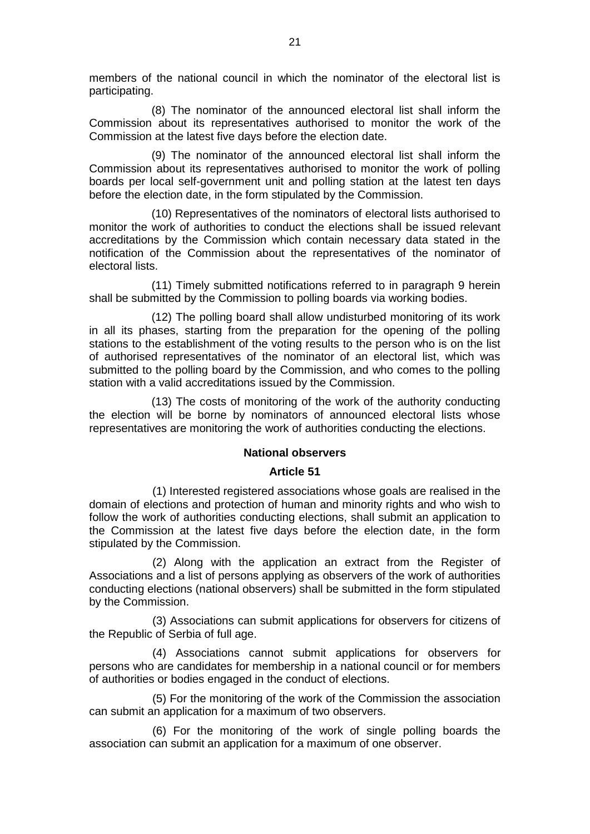members of the national council in which the nominator of the electoral list is participating.

(8) The nominator of the announced electoral list shall inform the Commission about its representatives authorised to monitor the work of the Commission at the latest five days before the election date.

(9) The nominator of the announced electoral list shall inform the Commission about its representatives authorised to monitor the work of polling boards per local self-government unit and polling station at the latest ten days before the election date, in the form stipulated by the Commission.

(10) Representatives of the nominators of electoral lists authorised to monitor the work of authorities to conduct the elections shall be issued relevant accreditations by the Commission which contain necessary data stated in the notification of the Commission about the representatives of the nominator of electoral lists.

(11) Timely submitted notifications referred to in paragraph 9 herein shall be submitted by the Commission to polling boards via working bodies.

(12) The polling board shall allow undisturbed monitoring of its work in all its phases, starting from the preparation for the opening of the polling stations to the establishment of the voting results to the person who is on the list of authorised representatives of the nominator of an electoral list, which was submitted to the polling board by the Commission, and who comes to the polling station with a valid accreditations issued by the Commission.

(13) The costs of monitoring of the work of the authority conducting the election will be borne by nominators of announced electoral lists whose representatives are monitoring the work of authorities conducting the elections.

### **National observers**

#### **Article 51**

(1) Interested registered associations whose goals are realised in the domain of elections and protection of human and minority rights and who wish to follow the work of authorities conducting elections, shall submit an application to the Commission at the latest five days before the election date, in the form stipulated by the Commission.

(2) Along with the application an extract from the Register of Associations and a list of persons applying as observers of the work of authorities conducting elections (national observers) shall be submitted in the form stipulated by the Commission.

(3) Associations can submit applications for observers for citizens of the Republic of Serbia of full age.

(4) Associations cannot submit applications for observers for persons who are candidates for membership in a national council or for members of authorities or bodies engaged in the conduct of elections.

(5) For the monitoring of the work of the Commission the association can submit an application for a maximum of two observers.

(6) For the monitoring of the work of single polling boards the association can submit an application for a maximum of one observer.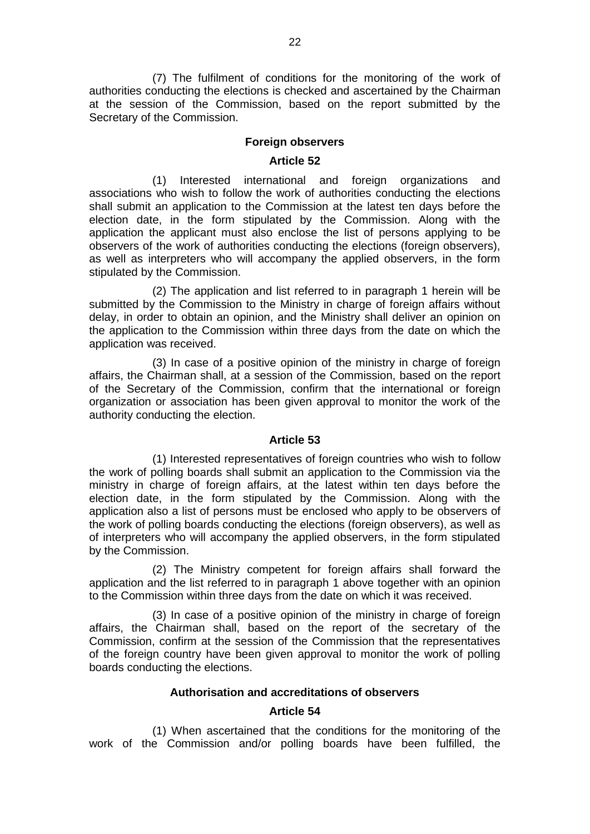(7) The fulfilment of conditions for the monitoring of the work of authorities conducting the elections is checked and ascertained by the Chairman at the session of the Commission, based on the report submitted by the Secretary of the Commission.

#### **Foreign observers**

#### **Article 52**

(1) Interested international and foreign organizations and associations who wish to follow the work of authorities conducting the elections shall submit an application to the Commission at the latest ten days before the election date, in the form stipulated by the Commission. Along with the application the applicant must also enclose the list of persons applying to be observers of the work of authorities conducting the elections (foreign observers), as well as interpreters who will accompany the applied observers, in the form stipulated by the Commission.

(2) The application and list referred to in paragraph 1 herein will be submitted by the Commission to the Ministry in charge of foreign affairs without delay, in order to obtain an opinion, and the Ministry shall deliver an opinion on the application to the Commission within three days from the date on which the application was received.

(3) In case of a positive opinion of the ministry in charge of foreign affairs, the Chairman shall, at a session of the Commission, based on the report of the Secretary of the Commission, confirm that the international or foreign organization or association has been given approval to monitor the work of the authority conducting the election.

#### **Article 53**

(1) Interested representatives of foreign countries who wish to follow the work of polling boards shall submit an application to the Commission via the ministry in charge of foreign affairs, at the latest within ten days before the election date, in the form stipulated by the Commission. Along with the application also a list of persons must be enclosed who apply to be observers of the work of polling boards conducting the elections (foreign observers), as well as of interpreters who will accompany the applied observers, in the form stipulated by the Commission.

(2) The Ministry competent for foreign affairs shall forward the application and the list referred to in paragraph 1 above together with an opinion to the Commission within three days from the date on which it was received.

(3) In case of a positive opinion of the ministry in charge of foreign affairs, the Chairman shall, based on the report of the secretary of the Commission, confirm at the session of the Commission that the representatives of the foreign country have been given approval to monitor the work of polling boards conducting the elections.

#### **Authorisation and accreditations of observers**

#### **Article 54**

(1) When ascertained that the conditions for the monitoring of the work of the Commission and/or polling boards have been fulfilled, the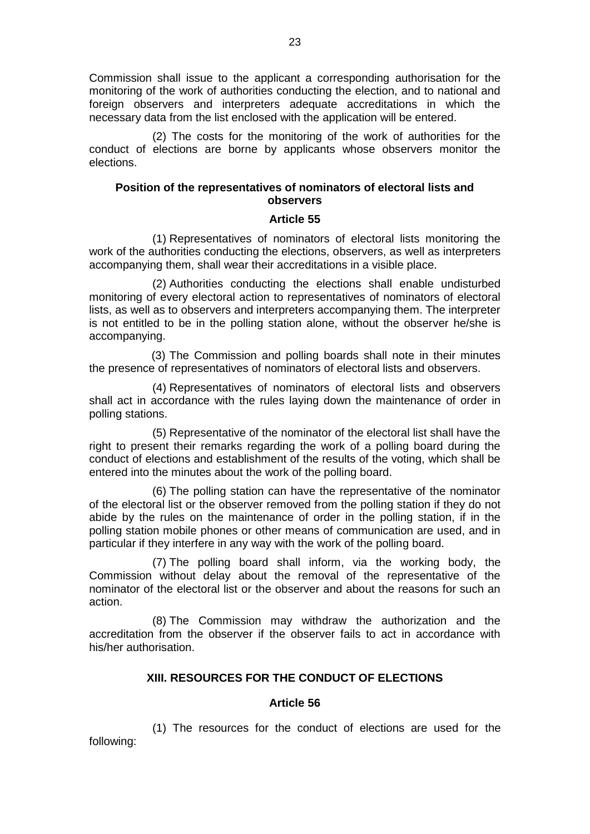Commission shall issue to the applicant a corresponding authorisation for the monitoring of the work of authorities conducting the election, and to national and foreign observers and interpreters adequate accreditations in which the necessary data from the list enclosed with the application will be entered.

(2) The costs for the monitoring of the work of authorities for the conduct of elections are borne by applicants whose observers monitor the elections.

### **Position of the representatives of nominators of electoral lists and observers**

### **Article 55**

(1) Representatives of nominators of electoral lists monitoring the work of the authorities conducting the elections, observers, as well as interpreters accompanying them, shall wear their accreditations in a visible place.

(2) Authorities conducting the elections shall enable undisturbed monitoring of every electoral action to representatives of nominators of electoral lists, as well as to observers and interpreters accompanying them. The interpreter is not entitled to be in the polling station alone, without the observer he/she is accompanying.

(3) The Commission and polling boards shall note in their minutes the presence of representatives of nominators of electoral lists and observers.

(4) Representatives of nominators of electoral lists and observers shall act in accordance with the rules laying down the maintenance of order in polling stations.

(5) Representative of the nominator of the electoral list shall have the right to present their remarks regarding the work of a polling board during the conduct of elections and establishment of the results of the voting, which shall be entered into the minutes about the work of the polling board.

(6) The polling station can have the representative of the nominator of the electoral list or the observer removed from the polling station if they do not abide by the rules on the maintenance of order in the polling station, if in the polling station mobile phones or other means of communication are used, and in particular if they interfere in any way with the work of the polling board.

(7) The polling board shall inform, via the working body, the Commission without delay about the removal of the representative of the nominator of the electoral list or the observer and about the reasons for such an action.

(8) The Commission may withdraw the authorization and the accreditation from the observer if the observer fails to act in accordance with his/her authorisation.

### **XIII. RESOURCES FOR THE CONDUCT OF ELECTIONS**

#### **Article 56**

(1) The resources for the conduct of elections are used for the following: